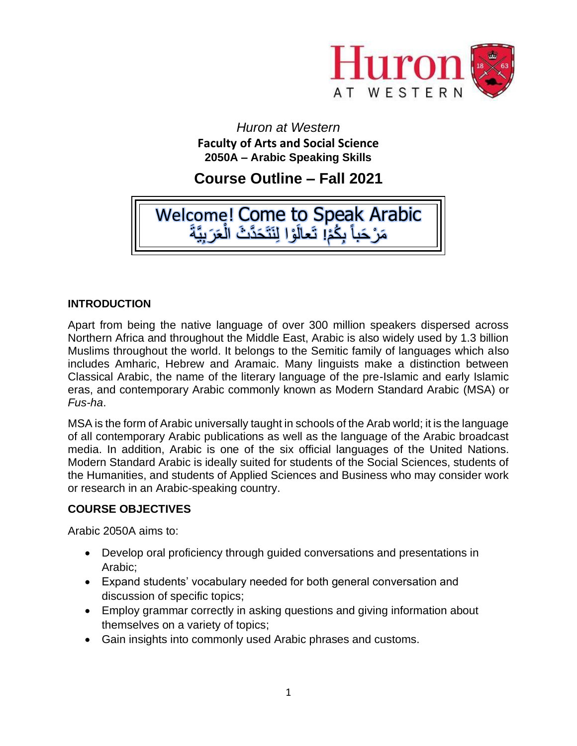

*Huron at Western*  **Faculty of Arts and Social Science 2050A – Arabic Speaking Skills**

# **Course Outline – Fall 2021**



# **INTRODUCTION**

Apart from being the native language of over 300 million speakers dispersed across Northern Africa and throughout the Middle East, Arabic is also widely used by 1.3 billion Muslims throughout the world. It belongs to the Semitic family of languages which also includes Amharic, Hebrew and Aramaic. Many linguists make a distinction between Classical Arabic, the name of the literary language of the pre-Islamic and early Islamic eras, and contemporary Arabic commonly known as Modern Standard Arabic (MSA) or *Fus-ha*.

MSA is the form of Arabic universally taught in schools of the Arab world; it is the language of all contemporary Arabic publications as well as the language of the Arabic broadcast media. In addition, Arabic is one of the six official languages of the United Nations. Modern Standard Arabic is ideally suited for students of the Social Sciences, students of the Humanities, and students of Applied Sciences and Business who may consider work or research in an Arabic-speaking country.

# **COURSE OBJECTIVES**

Arabic 2050A aims to:

- Develop oral proficiency through guided conversations and presentations in Arabic;
- Expand students' vocabulary needed for both general conversation and discussion of specific topics;
- Employ grammar correctly in asking questions and giving information about themselves on a variety of topics;
- Gain insights into commonly used Arabic phrases and customs.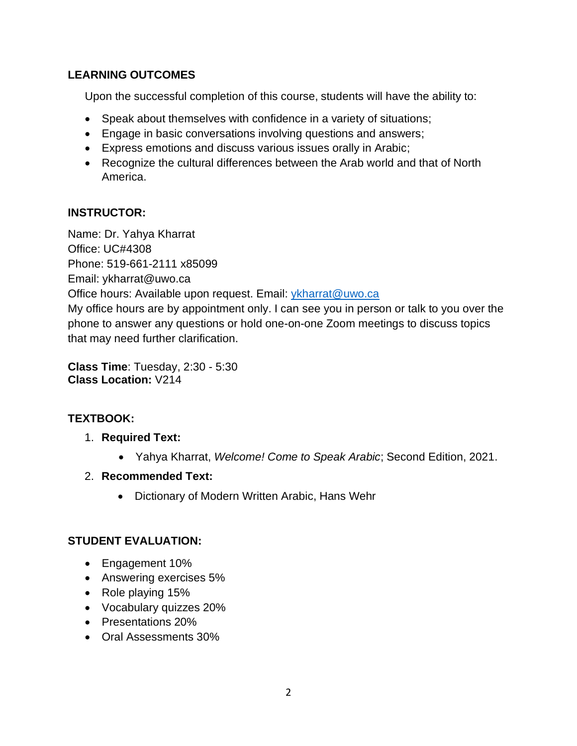# **LEARNING OUTCOMES**

Upon the successful completion of this course, students will have the ability to:

- Speak about themselves with confidence in a variety of situations;
- Engage in basic conversations involving questions and answers;
- Express emotions and discuss various issues orally in Arabic;
- Recognize the cultural differences between the Arab world and that of North America.

# **INSTRUCTOR:**

Name: Dr. Yahya Kharrat Office: UC#4308 Phone: 519-661-2111 x85099 Email: ykharrat@uwo.ca Office hours: Available upon request. Email: [ykharrat@uwo.ca](mailto:ykharrat@uwo.ca) My office hours are by appointment only. I can see you in person or talk to you over the phone to answer any questions or hold one-on-one Zoom meetings to discuss topics that may need further clarification.

**Class Time**: Tuesday, 2:30 - 5:30 **Class Location:** V214

# **TEXTBOOK:**

- 1. **Required Text:**
	- Yahya Kharrat, *Welcome! Come to Speak Arabic*; Second Edition, 2021.
- 2. **Recommended Text:**
	- Dictionary of Modern Written Arabic, Hans Wehr

# **STUDENT EVALUATION:**

- Engagement 10%
- Answering exercises 5%
- Role playing 15%
- Vocabulary quizzes 20%
- Presentations 20%
- Oral Assessments 30%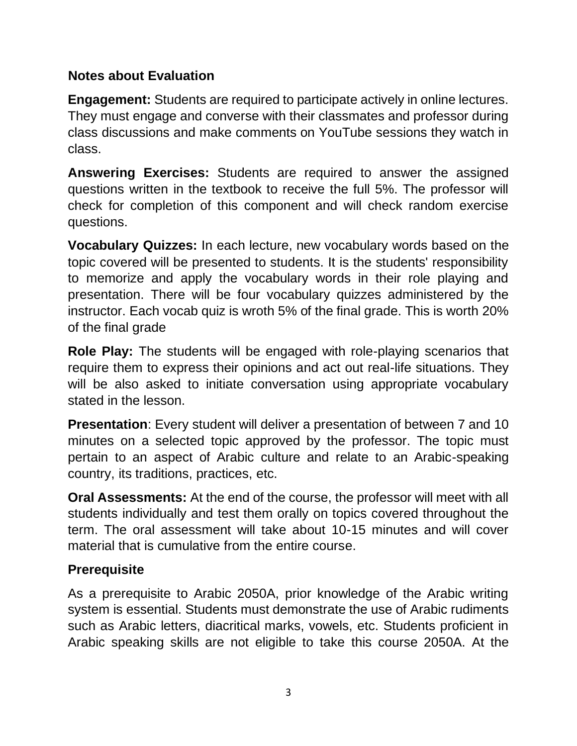# **Notes about Evaluation**

**Engagement:** Students are required to participate actively in online lectures. They must engage and converse with their classmates and professor during class discussions and make comments on YouTube sessions they watch in class.

**Answering Exercises:** Students are required to answer the assigned questions written in the textbook to receive the full 5%. The professor will check for completion of this component and will check random exercise questions.

**Vocabulary Quizzes:** In each lecture, new vocabulary words based on the topic covered will be presented to students. It is the students' responsibility to memorize and apply the vocabulary words in their role playing and presentation. There will be four vocabulary quizzes administered by the instructor. Each vocab quiz is wroth 5% of the final grade. This is worth 20% of the final grade

**Role Play:** The students will be engaged with role-playing scenarios that require them to express their opinions and act out real-life situations. They will be also asked to initiate conversation using appropriate vocabulary stated in the lesson.

**Presentation**: Every student will deliver a presentation of between 7 and 10 minutes on a selected topic approved by the professor. The topic must pertain to an aspect of Arabic culture and relate to an Arabic-speaking country, its traditions, practices, etc.

**Oral Assessments:** At the end of the course, the professor will meet with all students individually and test them orally on topics covered throughout the term. The oral assessment will take about 10-15 minutes and will cover material that is cumulative from the entire course.

# **Prerequisite**

As a prerequisite to Arabic 2050A, prior knowledge of the Arabic writing system is essential. Students must demonstrate the use of Arabic rudiments such as Arabic letters, diacritical marks, vowels, etc. Students proficient in Arabic speaking skills are not eligible to take this course 2050A. At the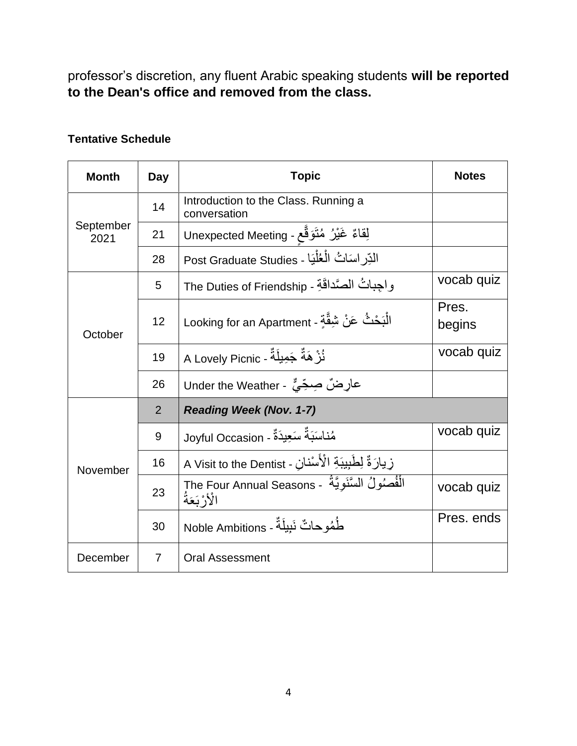professor's discretion, any fluent Arabic speaking students **will be reported to the Dean's office and removed from the class.**

# **Tentative Schedule**

| <b>Month</b>      | Day            | <b>Topic</b>                                                         | <b>Notes</b>    |
|-------------------|----------------|----------------------------------------------------------------------|-----------------|
| September<br>2021 | 14             | Introduction to the Class. Running a<br>conversation                 |                 |
|                   | 21             | لِقاءٌ غَيْرُ مُتَوَقَّعٍ - Unexpected Meeting                       |                 |
|                   | 28             | الدِّر اسَاتُ الْعُلْيَا - Post Graduate Studies                     |                 |
| October           | 5              | واجباتُ الصَّداقَةِ - The Duties of Friendship                       | vocab quiz      |
|                   | 12             | الْبَحْثُ عَنْ شِقَّةٍ - Looking for an Apartment                    | Pres.<br>begins |
|                   | 19             | نُرْ هَةٌ جَمِيلَةٌ - A Lovely Picnic                                | vocab quiz      |
|                   | 26             | عارِضٌ صِحِّيٌّ - Under the Weather                                  |                 |
| November          | $\overline{2}$ | <b>Reading Week (Nov. 1-7)</b>                                       |                 |
|                   | 9              | مُناسَبَةٌ سَعِيدَةٌ - Joyful Occasion                               | vocab quiz      |
|                   | 16             | زِيارَةٌ لِطَبِيبَةِ الْأَسْنانِ - A Visit to the Dentist            |                 |
|                   | 23             | الْفُصُولُ السَّنَوِيَّةُ - Țhe Four Annual Seasons<br>الْأَرْبَعَةُ | vocab quiz      |
|                   | 30             | طُمُو حاتٌ نَبِيلَةٌ - Noble Ambitions                               | Pres. ends      |
| December          | $\overline{7}$ | <b>Oral Assessment</b>                                               |                 |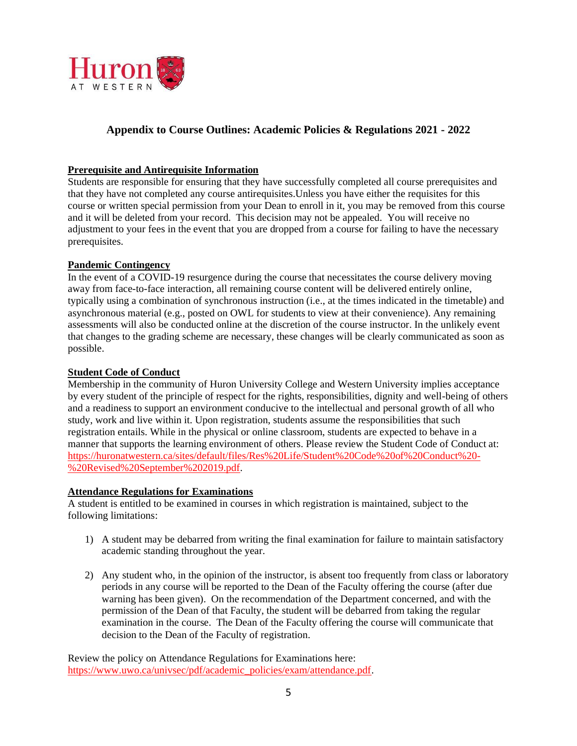

# **Appendix to Course Outlines: Academic Policies & Regulations 2021 - 2022**

#### **Prerequisite and Antirequisite Information**

Students are responsible for ensuring that they have successfully completed all course prerequisites and that they have not completed any course antirequisites.Unless you have either the requisites for this course or written special permission from your Dean to enroll in it, you may be removed from this course and it will be deleted from your record. This decision may not be appealed. You will receive no adjustment to your fees in the event that you are dropped from a course for failing to have the necessary prerequisites.

#### **Pandemic Contingency**

In the event of a COVID-19 resurgence during the course that necessitates the course delivery moving away from face-to-face interaction, all remaining course content will be delivered entirely online, typically using a combination of synchronous instruction (i.e., at the times indicated in the timetable) and asynchronous material (e.g., posted on OWL for students to view at their convenience). Any remaining assessments will also be conducted online at the discretion of the course instructor. In the unlikely event that changes to the grading scheme are necessary, these changes will be clearly communicated as soon as possible.

#### **Student Code of Conduct**

Membership in the community of Huron University College and Western University implies acceptance by every student of the principle of respect for the rights, responsibilities, dignity and well-being of others and a readiness to support an environment conducive to the intellectual and personal growth of all who study, work and live within it. Upon registration, students assume the responsibilities that such registration entails. While in the physical or online classroom, students are expected to behave in a manner that supports the learning environment of others. Please review the Student Code of Conduct at: [https://huronatwestern.ca/sites/default/files/Res%20Life/Student%20Code%20of%20Conduct%20-](https://huronatwestern.ca/sites/default/files/Res%20Life/Student%20Code%20of%20Conduct%20-%20Revised%20September%202019.pdf) [%20Revised%20September%202019.pdf.](https://huronatwestern.ca/sites/default/files/Res%20Life/Student%20Code%20of%20Conduct%20-%20Revised%20September%202019.pdf)

#### **Attendance Regulations for Examinations**

A student is entitled to be examined in courses in which registration is maintained, subject to the following limitations:

- 1) A student may be debarred from writing the final examination for failure to maintain satisfactory academic standing throughout the year.
- 2) Any student who, in the opinion of the instructor, is absent too frequently from class or laboratory periods in any course will be reported to the Dean of the Faculty offering the course (after due warning has been given). On the recommendation of the Department concerned, and with the permission of the Dean of that Faculty, the student will be debarred from taking the regular examination in the course. The Dean of the Faculty offering the course will communicate that decision to the Dean of the Faculty of registration.

Review the policy on Attendance Regulations for Examinations here: [https://www.uwo.ca/univsec/pdf/academic\\_policies/exam/attendance.pdf.](https://www.uwo.ca/univsec/pdf/academic_policies/exam/attendance.pdf)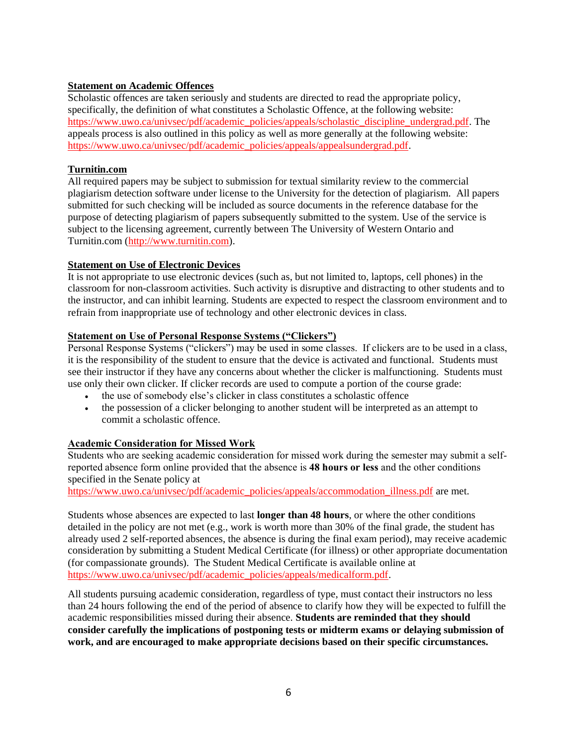## **Statement on Academic Offences**

Scholastic offences are taken seriously and students are directed to read the appropriate policy, specifically, the definition of what constitutes a Scholastic Offence, at the following website: [https://www.uwo.ca/univsec/pdf/academic\\_policies/appeals/scholastic\\_discipline\\_undergrad.pdf.](https://www.uwo.ca/univsec/pdf/academic_policies/appeals/scholastic_discipline_undergrad.pdf) The appeals process is also outlined in this policy as well as more generally at the following website: [https://www.uwo.ca/univsec/pdf/academic\\_policies/appeals/appealsundergrad.pdf.](https://www.uwo.ca/univsec/pdf/academic_policies/appeals/appealsundergrad.pdf)

## **Turnitin.com**

All required papers may be subject to submission for textual similarity review to the commercial plagiarism detection software under license to the University for the detection of plagiarism. All papers submitted for such checking will be included as source documents in the reference database for the purpose of detecting plagiarism of papers subsequently submitted to the system. Use of the service is subject to the licensing agreement, currently between The University of Western Ontario and Turnitin.com [\(http://www.turnitin.com\)](http://www.turnitin.com/).

## **Statement on Use of Electronic Devices**

It is not appropriate to use electronic devices (such as, but not limited to, laptops, cell phones) in the classroom for non-classroom activities. Such activity is disruptive and distracting to other students and to the instructor, and can inhibit learning. Students are expected to respect the classroom environment and to refrain from inappropriate use of technology and other electronic devices in class.

## **Statement on Use of Personal Response Systems ("Clickers")**

Personal Response Systems ("clickers") may be used in some classes. If clickers are to be used in a class, it is the responsibility of the student to ensure that the device is activated and functional. Students must see their instructor if they have any concerns about whether the clicker is malfunctioning. Students must use only their own clicker. If clicker records are used to compute a portion of the course grade:

- the use of somebody else's clicker in class constitutes a scholastic offence
- the possession of a clicker belonging to another student will be interpreted as an attempt to commit a scholastic offence.

### **Academic Consideration for Missed Work**

Students who are seeking academic consideration for missed work during the semester may submit a selfreported absence form online provided that the absence is **48 hours or less** and the other conditions specified in the Senate policy at

[https://www.uwo.ca/univsec/pdf/academic\\_policies/appeals/accommodation\\_illness.pdf](https://www.uwo.ca/univsec/pdf/academic_policies/appeals/accommodation_illness.pdf) are met.

Students whose absences are expected to last **longer than 48 hours**, or where the other conditions detailed in the policy are not met (e.g., work is worth more than 30% of the final grade, the student has already used 2 self-reported absences, the absence is during the final exam period), may receive academic consideration by submitting a Student Medical Certificate (for illness) or other appropriate documentation (for compassionate grounds). The Student Medical Certificate is available online at [https://www.uwo.ca/univsec/pdf/academic\\_policies/appeals/medicalform.pdf.](https://www.uwo.ca/univsec/pdf/academic_policies/appeals/medicalform.pdf)

All students pursuing academic consideration, regardless of type, must contact their instructors no less than 24 hours following the end of the period of absence to clarify how they will be expected to fulfill the academic responsibilities missed during their absence. **Students are reminded that they should consider carefully the implications of postponing tests or midterm exams or delaying submission of work, and are encouraged to make appropriate decisions based on their specific circumstances.**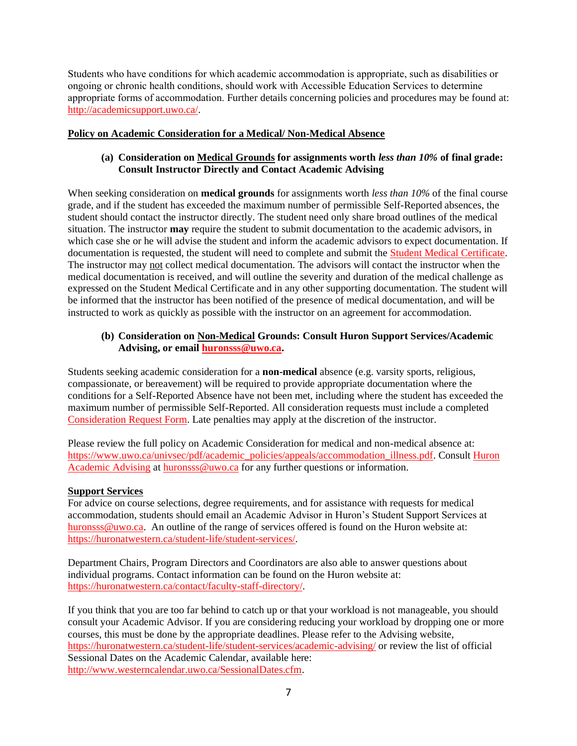Students who have conditions for which academic accommodation is appropriate, such as disabilities or ongoing or chronic health conditions, should work with Accessible Education Services to determine appropriate forms of accommodation. Further details concerning policies and procedures may be found at: [http://academicsupport.uwo.ca/.](http://academicsupport.uwo.ca/)

## **Policy on Academic Consideration for a Medical/ Non-Medical Absence**

## **(a) Consideration on Medical Grounds for assignments worth** *less than 10%* **of final grade: Consult Instructor Directly and Contact Academic Advising**

When seeking consideration on **medical grounds** for assignments worth *less than 10%* of the final course grade, and if the student has exceeded the maximum number of permissible Self-Reported absences, the student should contact the instructor directly. The student need only share broad outlines of the medical situation. The instructor **may** require the student to submit documentation to the academic advisors, in which case she or he will advise the student and inform the academic advisors to expect documentation. If documentation is requested, the student will need to complete and submit the [Student Medical Certificate.](https://www.uwo.ca/univsec/pdf/academic_policies/appeals/medicalform_15JUN.pdf) The instructor may not collect medical documentation. The advisors will contact the instructor when the medical documentation is received, and will outline the severity and duration of the medical challenge as expressed on the Student Medical Certificate and in any other supporting documentation. The student will be informed that the instructor has been notified of the presence of medical documentation, and will be instructed to work as quickly as possible with the instructor on an agreement for accommodation.

## **(b) Consideration on Non-Medical Grounds: Consult Huron Support Services/Academic Advising, or email [huronsss@uwo.ca.](mailto:huronsss@uwo.ca)**

Students seeking academic consideration for a **non-medical** absence (e.g. varsity sports, religious, compassionate, or bereavement) will be required to provide appropriate documentation where the conditions for a Self-Reported Absence have not been met, including where the student has exceeded the maximum number of permissible Self-Reported. All consideration requests must include a completed [Consideration Request Form.](https://huronatwestern.ca/sites/default/files/Forms/Academic%20Consideration%20Request%20Form%202020.pdf) Late penalties may apply at the discretion of the instructor.

Please review the full policy on Academic Consideration for medical and non-medical absence at: [https://www.uwo.ca/univsec/pdf/academic\\_policies/appeals/accommodation\\_illness.pdf.](https://www.uwo.ca/univsec/pdf/academic_policies/appeals/accommodation_illness.pdf) Consult [Huron](https://huronatwestern.ca/student-life/student-services/academic-advising/)  [Academic Advising](https://huronatwestern.ca/student-life/student-services/academic-advising/) at [huronsss@uwo.ca](mailto:huronsss@uwo.ca) for any further questions or information.

### **Support Services**

For advice on course selections, degree requirements, and for assistance with requests for medical accommodation, students should email an Academic Advisor in Huron's Student Support Services at [huronsss@uwo.ca.](mailto:huronsss@uwo.ca) An outline of the range of services offered is found on the Huron website at: [https://huronatwestern.ca/student-life/student-services/.](https://huronatwestern.ca/student-life/student-services/)

Department Chairs, Program Directors and Coordinators are also able to answer questions about individual programs. Contact information can be found on the Huron website at: [https://huronatwestern.ca/contact/faculty-staff-directory/.](https://huronatwestern.ca/contact/faculty-staff-directory/)

If you think that you are too far behind to catch up or that your workload is not manageable, you should consult your Academic Advisor. If you are considering reducing your workload by dropping one or more courses, this must be done by the appropriate deadlines. Please refer to the Advising website, <https://huronatwestern.ca/student-life/student-services/academic-advising/> or review the list of official Sessional Dates on the Academic Calendar, available here: [http://www.westerncalendar.uwo.ca/SessionalDates.cfm.](http://www.westerncalendar.uwo.ca/SessionalDates.cfm)